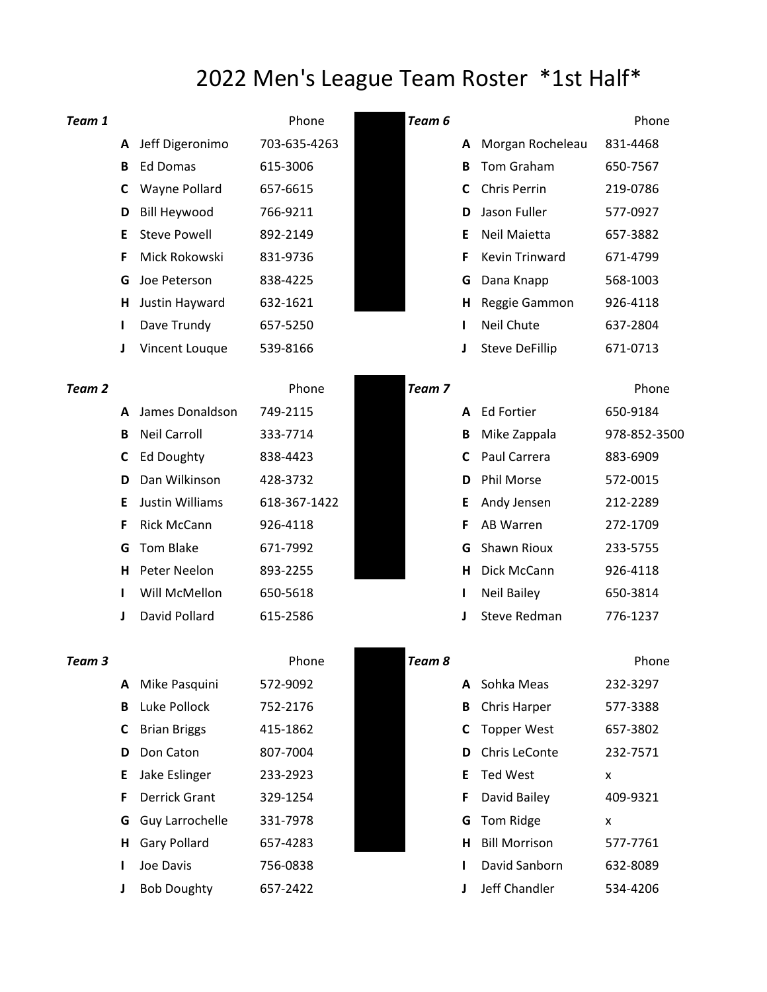# 2022 Men's League Team Roster \*1st Half\*

| Team 1            |   |                        | Phone        | Team 6 |   |                       | Phone        |
|-------------------|---|------------------------|--------------|--------|---|-----------------------|--------------|
|                   | A | Jeff Digeronimo        | 703-635-4263 |        | A | Morgan Rocheleau      | 831-4468     |
|                   | B | <b>Ed Domas</b>        | 615-3006     |        | B | Tom Graham            | 650-7567     |
|                   | C | Wayne Pollard          | 657-6615     |        | C | Chris Perrin          | 219-0786     |
|                   | D | <b>Bill Heywood</b>    | 766-9211     |        | D | Jason Fuller          | 577-0927     |
|                   | Е | <b>Steve Powell</b>    | 892-2149     |        | E | Neil Maietta          | 657-3882     |
|                   | F | Mick Rokowski          | 831-9736     |        | F | Kevin Trinward        | 671-4799     |
|                   | G | Joe Peterson           | 838-4225     |        | G | Dana Knapp            | 568-1003     |
|                   | н | Justin Hayward         | 632-1621     |        | H | Reggie Gammon         | 926-4118     |
|                   | 1 | Dave Trundy            | 657-5250     |        | L | Neil Chute            | 637-2804     |
|                   | J | Vincent Louque         | 539-8166     |        | J | <b>Steve DeFillip</b> | 671-0713     |
| Team <sub>2</sub> |   |                        | Phone        | Team 7 |   |                       | Phone        |
|                   | A | James Donaldson        | 749-2115     |        | A | <b>Ed Fortier</b>     | 650-9184     |
|                   | B | <b>Neil Carroll</b>    | 333-7714     |        | В | Mike Zappala          | 978-852-3500 |
|                   | C | <b>Ed Doughty</b>      | 838-4423     |        | C | Paul Carrera          | 883-6909     |
|                   | D | Dan Wilkinson          | 428-3732     |        | D | <b>Phil Morse</b>     | 572-0015     |
|                   | E | <b>Justin Williams</b> | 618-367-1422 |        | E | Andy Jensen           | 212-2289     |
|                   | F | <b>Rick McCann</b>     | 926-4118     |        | F | <b>AB Warren</b>      | 272-1709     |
|                   | G | <b>Tom Blake</b>       | 671-7992     |        | G | Shawn Rioux           | 233-5755     |
|                   | н | Peter Neelon           | 893-2255     |        | н | Dick McCann           | 926-4118     |
|                   | L | Will McMellon          | 650-5618     |        | ı | <b>Neil Bailey</b>    | 650-3814     |

|    |                     | Phone    |
|----|---------------------|----------|
| A  | Morgan Rocheleau    | 831-4468 |
| R  | Tom Graham          | 650-7567 |
| C  | <b>Chris Perrin</b> | 219-0786 |
| D  | Jason Fuller        | 577-0927 |
| F. | Neil Maietta        | 657-3882 |
| F  | Kevin Trinward      | 671-4799 |
| G  | Dana Knapp          | 568-1003 |
| н  | Reggie Gammon       | 926-4118 |
| ı  | Neil Chute          | 637-2804 |
|    | Steve DeFillip      | 671-0713 |

|    | <b>A</b> Ed Fortier   | 650-9184     |
|----|-----------------------|--------------|
| В  | Mike Zappala          | 978-852-3500 |
|    | <b>C</b> Paul Carrera | 883-6909     |
|    | <b>D</b> Phil Morse   | 572-0015     |
|    | <b>E</b> Andy Jensen  | 212-2289     |
|    | <b>F</b> AR Warren    | 272-1709     |
|    | <b>G</b> Shawn Rioux  | 233-5755     |
| н. | Dick McCann           | 926-4118     |
| ı  | Neil Bailey           | 650-3814     |
|    | Steve Redman          | 776-1237     |

| Team 3 |    |                          | Phone    | Team 8 |   |                      |   | Phone    |
|--------|----|--------------------------|----------|--------|---|----------------------|---|----------|
|        | A  | Mike Pasquini            | 572-9092 |        |   | <b>A</b> Sohka Meas  |   | 232-3297 |
|        | B. | Luke Pollock             | 752-2176 |        | В | <b>Chris Harper</b>  |   | 577-3388 |
|        | C. | <b>Brian Briggs</b>      | 415-1862 |        | C | Topper West          |   | 657-3802 |
|        | D  | Don Caton                | 807-7004 |        | D | Chris LeConte        |   | 232-7571 |
|        | E. | Jake Eslinger            | 233-2923 |        | Е | <b>Ted West</b>      | x |          |
|        | F. | Derrick Grant            | 329-1254 |        | F | David Bailey         |   | 409-9321 |
|        |    | <b>G</b> Guy Larrochelle | 331-7978 |        | G | Tom Ridge            | x |          |
|        | Н. | Gary Pollard             | 657-4283 |        | н | <b>Bill Morrison</b> |   | 577-7761 |
|        |    | Joe Davis                | 756-0838 |        |   | David Sanborn        |   | 632-8089 |
|        |    | <b>Bob Doughty</b>       | 657-2422 |        |   | Jeff Chandler        |   | 534-4206 |
|        |    |                          |          |        |   |                      |   |          |

**J** David Pollard 615-2586

|    | A Mike Pasquini        | 572-9092 |    | <b>A</b> Sohka Meas  | 232-3297 |
|----|------------------------|----------|----|----------------------|----------|
|    | <b>B</b> Luke Pollock  | 752-2176 | B  | Chris Harper         | 577-3388 |
|    | <b>C</b> Brian Briggs  | 415-1862 | C. | Topper West          | 657-3802 |
|    | <b>D</b> Don Caton     | 807-7004 | D  | Chris LeConte        | 232-7571 |
|    | <b>E</b> Jake Eslinger | 233-2923 | E. | Ted West             | X        |
|    | <b>F</b> Derrick Grant | 329-1254 | F. | David Bailey         | 409-9321 |
|    | G Guy Larrochelle      | 331-7978 |    | <b>G</b> Tom Ridge   | x        |
|    | H Gary Pollard         | 657-4283 | н  | <b>Bill Morrison</b> | 577-7761 |
| L  | Joe Davis              | 756-0838 |    | David Sanborn        | 632-8089 |
| J. | <b>Bob Doughty</b>     | 657-2422 |    | Jeff Chandler        | 534-4206 |
|    |                        |          |    |                      |          |